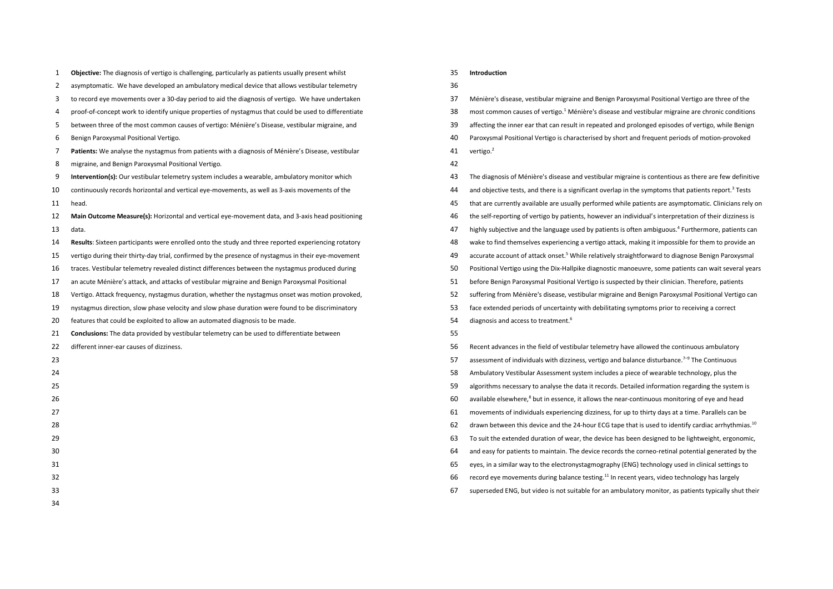| 1              | Objective: The diagnosis of vertigo is challenging, particularly as patients usually present whilst  |
|----------------|------------------------------------------------------------------------------------------------------|
| $\overline{2}$ | asymptomatic. We have developed an ambulatory medical device that allows vestibular telemetry        |
| 3              | to record eye movements over a 30-day period to aid the diagnosis of vertigo. We have undertaken     |
| 4              | proof-of-concept work to identify unique properties of nystagmus that could be used to differentiate |
| 5              | between three of the most common causes of vertigo: Ménière's Disease, vestibular migraine, and      |
| 6              | Benign Paroxysmal Positional Vertigo.                                                                |
| 7              | Patients: We analyse the nystagmus from patients with a diagnosis of Ménière's Disease, vestibular   |
| 8              | migraine, and Benign Paroxysmal Positional Vertigo.                                                  |
| 9              | Intervention(s): Our vestibular telemetry system includes a wearable, ambulatory monitor which       |
| 10             | continuously records horizontal and vertical eye-movements, as well as 3-axis movements of the       |
| 11             | head.                                                                                                |
| 12             | Main Outcome Measure(s): Horizontal and vertical eye-movement data, and 3-axis head positioning      |
| 13             | data.                                                                                                |
| 14             | Results: Sixteen participants were enrolled onto the study and three reported experiencing rotatory  |
| 15             | vertigo during their thirty-day trial, confirmed by the presence of nystagmus in their eye-movement  |
| 16             | traces. Vestibular telemetry revealed distinct differences between the nystagmus produced during     |
| 17             | an acute Ménière's attack, and attacks of vestibular migraine and Benign Paroxysmal Positional       |
| 18             | Vertigo. Attack frequency, nystagmus duration, whether the nystagmus onset was motion provoked,      |
| 19             | nystagmus direction, slow phase velocity and slow phase duration were found to be discriminatory     |
| 20             | features that could be exploited to allow an automated diagnosis to be made.                         |
| 21             | Conclusions: The data provided by vestibular telemetry can be used to differentiate between          |
| 22             | different inner-ear causes of dizziness.                                                             |
| 23             |                                                                                                      |
| 24             |                                                                                                      |
| 25             |                                                                                                      |
| 26             |                                                                                                      |
| 27             |                                                                                                      |
| 28             |                                                                                                      |
| 29             |                                                                                                      |
| 30             |                                                                                                      |
| 31             |                                                                                                      |
| 32             |                                                                                                      |
| 33             |                                                                                                      |

#### **Introduction**

# 

Ménière's disease, vestibular migraine and Benign Paroxysmal Positional Vertigo are three of the

- 38 most common causes of vertigo.<sup>1</sup> Ménière's disease and vestibular migraine are chronic conditions
- affecting the inner ear that can result in repeated and prolonged episodes of vertigo, while Benign
- Paroxysmal Positional Vertigo is characterised by short and frequent periods of motion-provoked
- 41 vertigo.<sup>2</sup>
- 
- The diagnosis of Ménière's disease and vestibular migraine is contentious as there are few definitive
- 44 and objective tests, and there is a significant overlap in the symptoms that patients report.<sup>3</sup> Tests
- that are currently available are usually performed while patients are asymptomatic. Clinicians rely on
- the self-reporting of vertigo by patients, however an individual's interpretation of their dizziness is
- 47 highly subjective and the language used by patients is often ambiguous.<sup>4</sup> Furthermore, patients can
- wake to find themselves experiencing a vertigo attack, making it impossible for them to provide an
- 49 accurate account of attack onset.<sup>5</sup> While relatively straightforward to diagnose Benign Paroxysmal
- Positional Vertigo using the Dix-Hallpike diagnostic manoeuvre, some patients can wait several years
- before Benign Paroxysmal Positional Vertigo is suspected by their clinician. Therefore, patients
- suffering from Ménière's disease, vestibular migraine and Benign Paroxysmal Positional Vertigo can
- face extended periods of uncertainty with debilitating symptoms prior to receiving a correct
- 54 diagnosis and access to treatment.<sup>6</sup>
- 
- Recent advances in the field of vestibular telemetry have allowed the continuous ambulatory
- 57 assessment of individuals with dizziness, vertigo and balance disturbance.<sup>7-9</sup> The Continuous
- Ambulatory Vestibular Assessment system includes a piece of wearable technology, plus the
- algorithms necessary to analyse the data it records. Detailed information regarding the system is
- 60 available elsewhere,<sup>8</sup> but in essence, it allows the near-continuous monitoring of eye and head
- movements of individuals experiencing dizziness, for up to thirty days at a time. Parallels can be
- 62 drawn between this device and the 24-hour ECG tape that is used to identify cardiac arrhythmias.<sup>10</sup>
- To suit the extended duration of wear, the device has been designed to be lightweight, ergonomic,
- and easy for patients to maintain. The device records the corneo-retinal potential generated by the
- eyes, in a similar way to the electronystagmography (ENG) technology used in clinical settings to
- 66 record eye movements during balance testing.<sup>11</sup> In recent years, video technology has largely
- superseded ENG, but video is not suitable for an ambulatory monitor, as patients typically shut their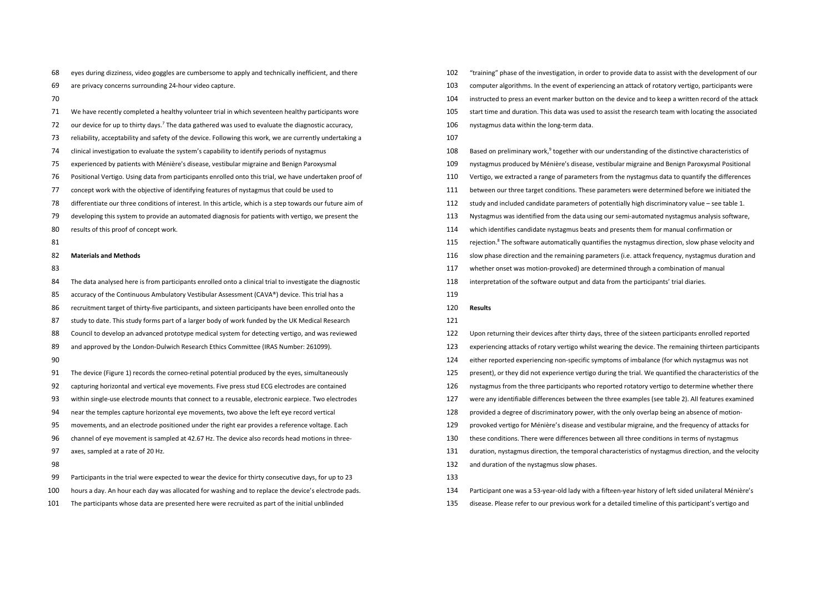- eyes during dizziness, video goggles are cumbersome to apply and technically inefficient, and there
- are privacy concerns surrounding 24-hour video capture.
- 
- We have recently completed a healthy volunteer trial in which seventeen healthy participants wore
- 72 our device for up to thirty days.<sup>7</sup> The data gathered was used to evaluate the diagnostic accuracy,
- reliability, acceptability and safety of the device. Following this work, we are currently undertaking a
- clinical investigation to evaluate the system's capability to identify periods of nystagmus
- experienced by patients with Ménière's disease, vestibular migraine and Benign Paroxysmal
- Positional Vertigo. Using data from participants enrolled onto this trial, we have undertaken proof of
- concept work with the objective of identifying features of nystagmus that could be used to
- differentiate our three conditions of interest. In this article, which is a step towards our future aim of
- developing this system to provide an automated diagnosis for patients with vertigo, we present the
- results of this proof of concept work.
- 

# **Materials and Methods**

- 
- 84 The data analysed here is from participants enrolled onto a clinical trial to investigate the diagnostic
- 85 accuracy of the Continuous Ambulatory Vestibular Assessment (CAVA®) device. This trial has a
- recruitment target of thirty-five participants, and sixteen participants have been enrolled onto the
- 87 study to date. This study forms part of a larger body of work funded by the UK Medical Research
- Council to develop an advanced prototype medical system for detecting vertigo, and was reviewed
- and approved by the London-Dulwich Research Ethics Committee (IRAS Number: 261099).
- 
- The device (Figure 1) records the corneo-retinal potential produced by the eyes, simultaneously
- capturing horizontal and vertical eye movements. Five press stud ECG electrodes are contained
- within single-use electrode mounts that connect to a reusable, electronic earpiece. Two electrodes
- near the temples capture horizontal eye movements, two above the left eye record vertical
- movements, and an electrode positioned under the right ear provides a reference voltage. Each
- channel of eye movement is sampled at 42.67 Hz. The device also records head motions in three-
- axes, sampled at a rate of 20 Hz.
- 
- Participants in the trial were expected to wear the device for thirty consecutive days, for up to 23
- hours a day. An hour each day was allocated for washing and to replace the device's electrode pads.
- The participants whose data are presented here were recruited as part of the initial unblinded
- "training" phase of the investigation, in order to provide data to assist with the development of our
- computer algorithms. In the event of experiencing an attack of rotatory vertigo, participants were
- instructed to press an event marker button on the device and to keep a written record of the attack
- start time and duration. This data was used to assist the research team with locating the associated
- nystagmus data within the long-term data.
- 
- 108 Based on preliminary work,<sup>9</sup> together with our understanding of the distinctive characteristics of
- nystagmus produced by Ménière's disease, vestibular migraine and Benign Paroxysmal Positional
- Vertigo, we extracted a range of parameters from the nystagmus data to quantify the differences
- between our three target conditions. These parameters were determined before we initiated the
- study and included candidate parameters of potentially high discriminatory value see table 1.
- Nystagmus was identified from the data using our semi-automated nystagmus analysis software,
- which identifies candidate nystagmus beats and presents them for manual confirmation or
- 115 rejection.<sup>8</sup> The software automatically quantifies the nystagmus direction, slow phase velocity and
- slow phase direction and the remaining parameters (i.e. attack frequency, nystagmus duration and
- whether onset was motion-provoked) are determined through a combination of manual
- interpretation of the software output and data from the participants' trial diaries.
- 
- **Results**

- Upon returning their devices after thirty days, three of the sixteen participants enrolled reported
- experiencing attacks of rotary vertigo whilst wearing the device. The remaining thirteen participants
- either reported experiencing non-specific symptoms of imbalance (for which nystagmus was not
- present), or they did not experience vertigo during the trial. We quantified the characteristics of the
- nystagmus from the three participants who reported rotatory vertigo to determine whether there
- were any identifiable differences between the three examples (see table 2). All features examined
- provided a degree of discriminatory power, with the only overlap being an absence of motion-
- provoked vertigo for Ménière's disease and vestibular migraine, and the frequency of attacks for
- these conditions. There were differences between all three conditions in terms of nystagmus
- duration, nystagmus direction, the temporal characteristics of nystagmus direction, and the velocity
- and duration of the nystagmus slow phases.
- 
- Participant one was a 53-year-old lady with a fifteen-year history of left sided unilateral Ménière's
- disease. Please refer to our previous work for a detailed timeline of this participant's vertigo and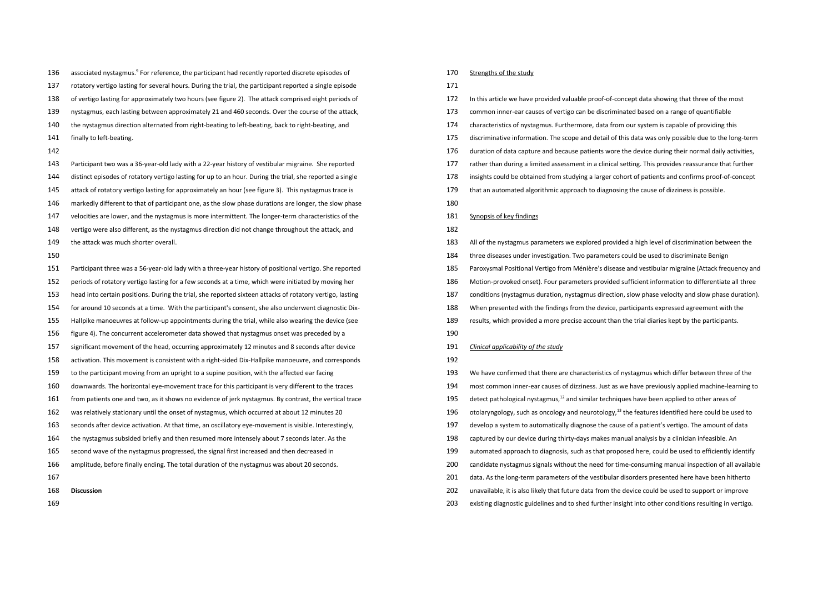136 associated nystagmus.<sup>9</sup> For reference, the participant had recently reported discrete episodes of

- rotatory vertigo lasting for several hours. During the trial, the participant reported a single episode
- of vertigo lasting for approximately two hours (see figure 2). The attack comprised eight periods of
- nystagmus, each lasting between approximately 21 and 460 seconds. Over the course of the attack,
- the nystagmus direction alternated from right-beating to left-beating, back to right-beating, and
- 141 finally to left-beating.
- 

 Participant two was a 36-year-old lady with a 22-year history of vestibular migraine. She reported distinct episodes of rotatory vertigo lasting for up to an hour. During the trial, she reported a single attack of rotatory vertigo lasting for approximately an hour (see figure 3). This nystagmus trace is markedly different to that of participant one, as the slow phase durations are longer, the slow phase velocities are lower, and the nystagmus is more intermittent. The longer-term characteristics of the vertigo were also different, as the nystagmus direction did not change throughout the attack, and 149 the attack was much shorter overall.

- 
- Participant three was a 56-year-old lady with a three-year history of positional vertigo. She reported
- periods of rotatory vertigo lasting for a few seconds at a time, which were initiated by moving her
- head into certain positions. During the trial, she reported sixteen attacks of rotatory vertigo, lasting
- for around 10 seconds at a time. With the participant's consent, she also underwent diagnostic Dix-
- Hallpike manoeuvres at follow-up appointments during the trial, while also wearing the device (see
- figure 4). The concurrent accelerometer data showed that nystagmus onset was preceded by a
- significant movement of the head, occurring approximately 12 minutes and 8 seconds after device
- activation. This movement is consistent with a right-sided Dix-Hallpike manoeuvre, and corresponds
- to the participant moving from an upright to a supine position, with the affected ear facing
- downwards. The horizontal eye-movement trace for this participant is very different to the traces
- from patients one and two, as it shows no evidence of jerk nystagmus. By contrast, the vertical trace
- was relatively stationary until the onset of nystagmus, which occurred at about 12 minutes 20
- seconds after device activation. At that time, an oscillatory eye-movement is visible. Interestingly,
- the nystagmus subsided briefly and then resumed more intensely about 7 seconds later. As the
- second wave of the nystagmus progressed, the signal first increased and then decreased in
- amplitude, before finally ending. The total duration of the nystagmus was about 20 seconds.
- 
- **Discussion**
- 

### Strengths of the study

# 

- In this article we have provided valuable proof-of-concept data showing that three of the most
- common inner-ear causes of vertigo can be discriminated based on a range of quantifiable
- characteristics of nystagmus. Furthermore, data from our system is capable of providing this
- discriminative information. The scope and detail of this data was only possible due to the long-term
- duration of data capture and because patients wore the device during their normal daily activities,
- rather than during a limited assessment in a clinical setting. This provides reassurance that further
- insights could be obtained from studying a larger cohort of patients and confirms proof-of-concept
- that an automated algorithmic approach to diagnosing the cause of dizziness is possible.
- 

#### Synopsis of key findings

### 

- All of the nystagmus parameters we explored provided a high level of discrimination between the
- three diseases under investigation. Two parameters could be used to discriminate Benign
- Paroxysmal Positional Vertigo from Ménière's disease and vestibular migraine (Attack frequency and
- Motion-provoked onset). Four parameters provided sufficient information to differentiate all three
- conditions (nystagmus duration, nystagmus direction, slow phase velocity and slow phase duration).
- When presented with the findings from the device, participants expressed agreement with the
- results, which provided a more precise account than the trial diaries kept by the participants.
- 

## *Clinical applicability of the study*

- We have confirmed that there are characteristics of nystagmus which differ between three of the
- most common inner-ear causes of dizziness. Just as we have previously applied machine-learning to
- detect pathological nystagmus,  $^{12}$  and similar techniques have been applied to other areas of
- 196 otolaryngology, such as oncology and neurotology, the features identified here could be used to
- develop a system to automatically diagnose the cause of a patient's vertigo. The amount of data
- captured by our device during thirty-days makes manual analysis by a clinician infeasible. An
- automated approach to diagnosis, such as that proposed here, could be used to efficiently identify
- candidate nystagmus signals without the need for time-consuming manual inspection of all available
- 201 data. As the long-term parameters of the vestibular disorders presented here have been hitherto
- unavailable, it is also likely that future data from the device could be used to support or improve
- existing diagnostic guidelines and to shed further insight into other conditions resulting in vertigo.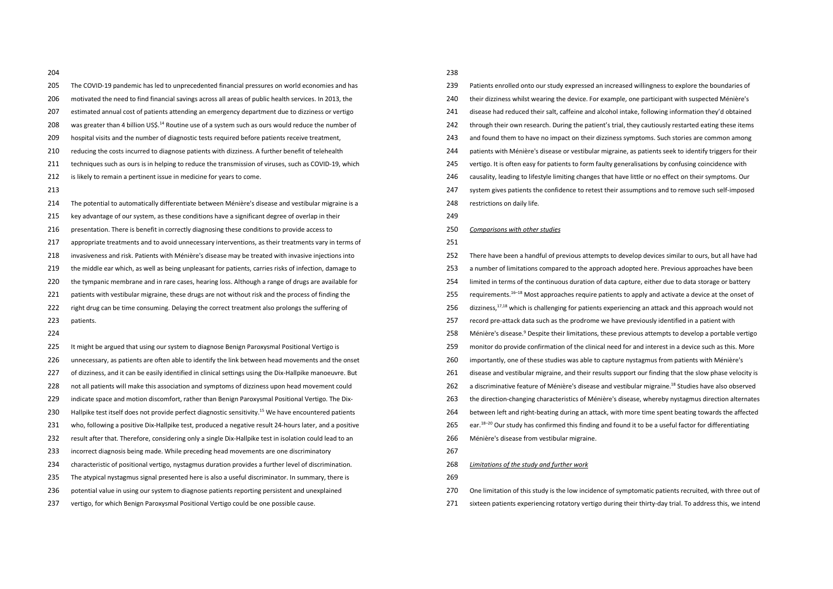- 
- The COVID-19 pandemic has led to unprecedented financial pressures on world economies and has motivated the need to find financial savings across all areas of public health services. In 2013, the estimated annual cost of patients attending an emergency department due to dizziness or vertigo 208 was greater than 4 billion US\$.<sup>14</sup> Routine use of a system such as ours would reduce the number of hospital visits and the number of diagnostic tests required before patients receive treatment, reducing the costs incurred to diagnose patients with dizziness. A further benefit of telehealth techniques such as ours is in helping to reduce the transmission of viruses, such as COVID-19, which 212 is likely to remain a pertinent issue in medicine for years to come. The potential to automatically differentiate between Ménière's disease and vestibular migraine is a key advantage of our system, as these conditions have a significant degree of overlap in their 216 presentation. There is benefit in correctly diagnosing these conditions to provide access to appropriate treatments and to avoid unnecessary interventions, as their treatments vary in terms of invasiveness and risk. Patients with Ménière's disease may be treated with invasive injections into the middle ear which, as well as being unpleasant for patients, carries risks of infection, damage to the tympanic membrane and in rare cases, hearing loss. Although a range of drugs are available for 221 patients with vestibular migraine, these drugs are not without risk and the process of finding the 222 right drug can be time consuming. Delaying the correct treatment also prolongs the suffering of patients. It might be argued that using our system to diagnose Benign Paroxysmal Positional Vertigo is unnecessary, as patients are often able to identify the link between head movements and the onset of dizziness, and it can be easily identified in clinical settings using the Dix-Hallpike manoeuvre. But
- 228 not all patients will make this association and symptoms of dizziness upon head movement could indicate space and motion discomfort, rather than Benign Paroxysmal Positional Vertigo. The Dix-
- 230 Hallpike test itself does not provide perfect diagnostic sensitivity.<sup>15</sup> We have encountered patients
- who, following a positive Dix-Hallpike test, produced a negative result 24-hours later, and a positive
- result after that. Therefore, considering only a single Dix-Hallpike test in isolation could lead to an
- incorrect diagnosis being made. While preceding head movements are one discriminatory
- characteristic of positional vertigo, nystagmus duration provides a further level of discrimination.
- The atypical nystagmus signal presented here is also a useful discriminator. In summary, there is
- potential value in using our system to diagnose patients reporting persistent and unexplained
- vertigo, for which Benign Paroxysmal Positional Vertigo could be one possible cause.

| 239 | Patients enrolled onto our study expressed an increased willingness to explore the boundaries of                  |
|-----|-------------------------------------------------------------------------------------------------------------------|
| 240 | their dizziness whilst wearing the device. For example, one participant with suspected Ménière's                  |
| 241 | disease had reduced their salt, caffeine and alcohol intake, following information they'd obtained                |
| 242 | through their own research. During the patient's trial, they cautiously restarted eating these items              |
| 243 | and found them to have no impact on their dizziness symptoms. Such stories are common among                       |
| 244 | patients with Ménière's disease or vestibular migraine, as patients seek to identify triggers for their           |
| 245 | vertigo. It is often easy for patients to form faulty generalisations by confusing coincidence with               |
| 246 | causality, leading to lifestyle limiting changes that have little or no effect on their symptoms. Our             |
| 247 | system gives patients the confidence to retest their assumptions and to remove such self-imposed                  |
| 248 | restrictions on daily life.                                                                                       |
| 249 |                                                                                                                   |
| 250 | Comparisons with other studies                                                                                    |
| 251 |                                                                                                                   |
| 252 | There have been a handful of previous attempts to develop devices similar to ours, but all have had               |
| 253 | a number of limitations compared to the approach adopted here. Previous approaches have been                      |
| 254 | limited in terms of the continuous duration of data capture, either due to data storage or battery                |
| 255 | requirements. <sup>16–18</sup> Most approaches require patients to apply and activate a device at the onset of    |
| 256 | dizziness, <sup>17,18</sup> which is challenging for patients experiencing an attack and this approach would not  |
| 257 | record pre-attack data such as the prodrome we have previously identified in a patient with                       |
| 258 | Ménière's disease. <sup>9</sup> Despite their limitations, these previous attempts to develop a portable vertigo  |
| 259 | monitor do provide confirmation of the clinical need for and interest in a device such as this. More              |
| 260 | importantly, one of these studies was able to capture nystagmus from patients with Ménière's                      |
| 261 | disease and vestibular migraine, and their results support our finding that the slow phase velocity is            |
| 262 | a discriminative feature of Ménière's disease and vestibular migraine. <sup>18</sup> Studies have also observed   |
| 263 | the direction-changing characteristics of Ménière's disease, whereby nystagmus direction alternates               |
| 264 | between left and right-beating during an attack, with more time spent beating towards the affected                |
| 265 | ear. <sup>18-20</sup> Our study has confirmed this finding and found it to be a useful factor for differentiating |
| 266 | Ménière's disease from vestibular migraine.                                                                       |
| 267 |                                                                                                                   |
| 268 | Limitations of the study and further work                                                                         |

- 
- One limitation of this study is the low incidence of symptomatic patients recruited, with three out of
- sixteen patients experiencing rotatory vertigo during their thirty-day trial. To address this, we intend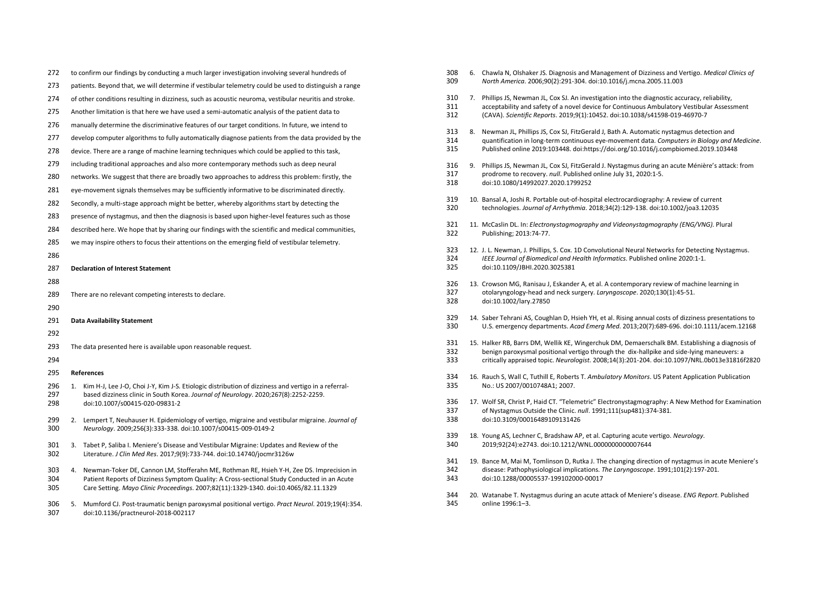| 272        | to confirm our findings by conducting a much larger investigation involving several hundreds of                                                                      | 308        | 6. Chawla N, Olshaker JS. Diagn                                     |
|------------|----------------------------------------------------------------------------------------------------------------------------------------------------------------------|------------|---------------------------------------------------------------------|
| 273        | patients. Beyond that, we will determine if vestibular telemetry could be used to distinguish a range                                                                | 309        | North America. 2006;90(2):29                                        |
| 274        | of other conditions resulting in dizziness, such as acoustic neuroma, vestibular neuritis and stroke.                                                                | 310        | 7. Phillips JS, Newman JL, Cox S.                                   |
| 275        | Another limitation is that here we have used a semi-automatic analysis of the patient data to                                                                        | 311<br>312 | acceptability and safety of a<br>(CAVA). Scientific Reports. 20     |
| 276        | manually determine the discriminative features of our target conditions. In future, we intend to                                                                     |            |                                                                     |
| 277        | develop computer algorithms to fully automatically diagnose patients from the data provided by the                                                                   | 313<br>314 | 8. Newman JL, Phillips JS, Cox S.<br>quantification in long-term co |
| 278        | device. There are a range of machine learning techniques which could be applied to this task,                                                                        | 315        | Published online 2019:10344                                         |
| 279        | including traditional approaches and also more contemporary methods such as deep neural                                                                              | 316        | 9. Phillips JS, Newman JL, Cox S.                                   |
| 280        | networks. We suggest that there are broadly two approaches to address this problem: firstly, the                                                                     | 317        | prodrome to recovery. null. F                                       |
| 281        | eye-movement signals themselves may be sufficiently informative to be discriminated directly.                                                                        | 318        | doi:10.1080/14992027.2020.                                          |
| 282        | Secondly, a multi-stage approach might be better, whereby algorithms start by detecting the                                                                          | 319        | 10. Bansal A, Joshi R. Portable ou                                  |
| 283        | presence of nystagmus, and then the diagnosis is based upon higher-level features such as those                                                                      | 320        | technologies. Journal of Arrh                                       |
| 284        | described here. We hope that by sharing our findings with the scientific and medical communities,                                                                    | 321<br>322 | 11. McCaslin DL. In: Electronysta<br>Publishing; 2013:74-77.        |
| 285        | we may inspire others to focus their attentions on the emerging field of vestibular telemetry.                                                                       |            |                                                                     |
| 286        |                                                                                                                                                                      | 323        | 12. J. L. Newman, J. Phillips, S. Co                                |
|            |                                                                                                                                                                      | 324        | <b>IEEE Journal of Biomedical an</b>                                |
| 287        | <b>Declaration of Interest Statement</b>                                                                                                                             | 325        | doi:10.1109/JBHI.2020.30253                                         |
| 288        |                                                                                                                                                                      | 326        | 13. Crowson MG, Ranisau J, Eska                                     |
| 289        | There are no relevant competing interests to declare.                                                                                                                | 327        | otolaryngology-head and ned                                         |
| 290        |                                                                                                                                                                      | 328        | doi:10.1002/lary.27850                                              |
| 291        | <b>Data Availability Statement</b>                                                                                                                                   | 329        | 14. Saber Tehrani AS, Coughlan D                                    |
| 292        |                                                                                                                                                                      | 330        | U.S. emergency departments                                          |
| 293        | The data presented here is available upon reasonable request.                                                                                                        | 331        | 15. Halker RB, Barrs DM, Wellik K                                   |
|            |                                                                                                                                                                      | 332        | benign paroxysmal positiona                                         |
| 294        |                                                                                                                                                                      | 333        | critically appraised topic. Net                                     |
| 295        | References                                                                                                                                                           | 334        | 16. Rauch S, Wall C, Tuthill E, Rol                                 |
| 296        | 1. Kim H-J, Lee J-O, Choi J-Y, Kim J-S. Etiologic distribution of dizziness and vertigo in a referral-                                                               | 335        | No.: US 2007/0010748A1; 20                                          |
| 297        | based dizziness clinic in South Korea. Journal of Neurology. 2020;267(8):2252-2259.                                                                                  | 336        | 17. Wolf SR, Christ P, Haid CT. "T                                  |
| 298        | doi:10.1007/s00415-020-09831-2                                                                                                                                       | 337        | of Nystagmus Outside the Cli                                        |
| 299        | 2. Lempert T, Neuhauser H. Epidemiology of vertigo, migraine and vestibular migraine. Journal of                                                                     | 338        | doi:10.3109/0001648910913                                           |
| 300        | Neurology. 2009;256(3):333-338. doi:10.1007/s00415-009-0149-2                                                                                                        |            |                                                                     |
|            |                                                                                                                                                                      | 339        | 18. Young AS, Lechner C, Bradsha                                    |
| 301<br>302 | 3. Tabet P, Saliba I. Meniere's Disease and Vestibular Migraine: Updates and Review of the<br>Literature. J Clin Med Res. 2017;9(9):733-744. doi:10.14740/jocmr3126w | 340        | 2019;92(24):e2743. doi:10.12                                        |
|            |                                                                                                                                                                      | 341        | 19. Bance M, Mai M, Tomlinson I                                     |
| 303        | Newman-Toker DE, Cannon LM, Stofferahn ME, Rothman RE, Hsieh Y-H, Zee DS. Imprecision in<br>4.                                                                       | 342        | disease: Pathophysiological ii                                      |
| 304        | Patient Reports of Dizziness Symptom Quality: A Cross-sectional Study Conducted in an Acute                                                                          | 343        | doi:10.1288/00005537-1991                                           |
| 305        | Care Setting. Mayo Clinic Proceedings. 2007;82(11):1329-1340. doi:10.4065/82.11.1329                                                                                 |            |                                                                     |
| 306        | 5. Mumford CJ. Post-traumatic benign paroxysmal positional vertigo. Pract Neurol. 2019;19(4):354.                                                                    | 344<br>345 | 20. Watanabe T. Nystagmus duri<br>online 1996:1-3.                  |
|            |                                                                                                                                                                      |            |                                                                     |

doi:10.1136/practneurol-2018-002117

| 308<br>309        | 6. | Chawla N, Olshaker JS. Diagnosis and Management of Dizziness and Vertigo. Medical Clinics of<br>North America. 2006;90(2):291-304. doi:10.1016/j.mcna.2005.11.003                                                                                                                             |
|-------------------|----|-----------------------------------------------------------------------------------------------------------------------------------------------------------------------------------------------------------------------------------------------------------------------------------------------|
| 310<br>311<br>312 | 7. | Phillips JS, Newman JL, Cox SJ. An investigation into the diagnostic accuracy, reliability,<br>acceptability and safety of a novel device for Continuous Ambulatory Vestibular Assessment<br>(CAVA). Scientific Reports. 2019;9(1):10452. doi:10.1038/s41598-019-46970-7                      |
| 313<br>314<br>315 | 8. | Newman JL, Phillips JS, Cox SJ, FitzGerald J, Bath A. Automatic nystagmus detection and<br>quantification in long-term continuous eye-movement data. Computers in Biology and Medicine.<br>Published online 2019:103448. doi:https://doi.org/10.1016/j.compbiomed.2019.103448                 |
| 316<br>317<br>318 | 9. | Phillips JS, Newman JL, Cox SJ, FitzGerald J. Nystagmus during an acute Ménière's attack: from<br>prodrome to recovery. null. Published online July 31, 2020:1-5.<br>doi:10.1080/14992027.2020.1799252                                                                                        |
| 319<br>320        |    | 10. Bansal A, Joshi R. Portable out-of-hospital electrocardiography: A review of current<br>technologies. Journal of Arrhythmia. 2018;34(2):129-138. doi:10.1002/joa3.12035                                                                                                                   |
| 321<br>322        |    | 11. McCaslin DL. In: Electronystagmography and Videonystagmography (ENG/VNG). Plural<br>Publishing; 2013:74-77.                                                                                                                                                                               |
| 323<br>324<br>325 |    | 12. J. L. Newman, J. Phillips, S. Cox. 1D Convolutional Neural Networks for Detecting Nystagmus.<br>IEEE Journal of Biomedical and Health Informatics. Published online 2020:1-1.<br>doi:10.1109/JBHI.2020.3025381                                                                            |
| 326<br>327<br>328 |    | 13. Crowson MG, Ranisau J, Eskander A, et al. A contemporary review of machine learning in<br>otolaryngology-head and neck surgery. Laryngoscope. 2020;130(1):45-51.<br>doi:10.1002/lary.27850                                                                                                |
| 329<br>330        |    | 14. Saber Tehrani AS, Coughlan D, Hsieh YH, et al. Rising annual costs of dizziness presentations to<br>U.S. emergency departments. Acad Emerg Med. 2013;20(7):689-696. doi:10.1111/acem.12168                                                                                                |
| 331<br>332<br>333 |    | 15. Halker RB, Barrs DM, Wellik KE, Wingerchuk DM, Demaerschalk BM. Establishing a diagnosis of<br>benign paroxysmal positional vertigo through the dix-hallpike and side-lying maneuvers: a<br>critically appraised topic. Neurologist. 2008;14(3):201-204. doi:10.1097/NRL.0b013e31816f2820 |
| 334<br>335        |    | 16. Rauch S, Wall C, Tuthill E, Roberts T. Ambulatory Monitors. US Patent Application Publication<br>No.: US 2007/0010748A1; 2007.                                                                                                                                                            |
| 336<br>337<br>338 |    | 17. Wolf SR, Christ P, Haid CT. "Telemetric" Electronystagmography: A New Method for Examination<br>of Nystagmus Outside the Clinic. null. 1991;111(sup481):374-381.<br>doi:10.3109/00016489109131426                                                                                         |
| 339<br>340        |    | 18. Young AS, Lechner C, Bradshaw AP, et al. Capturing acute vertigo. Neurology.<br>2019;92(24):e2743. doi:10.1212/WNL.0000000000007644                                                                                                                                                       |
| 341<br>342<br>343 |    | 19. Bance M, Mai M, Tomlinson D, Rutka J. The changing direction of nystagmus in acute Meniere's<br>disease: Pathophysiological implications. The Laryngoscope. 1991;101(2):197-201.<br>doi:10.1288/00005537-199102000-00017                                                                  |

ing an acute attack of Meniere's disease. *ENG Report*. Published online 1996:1–3.